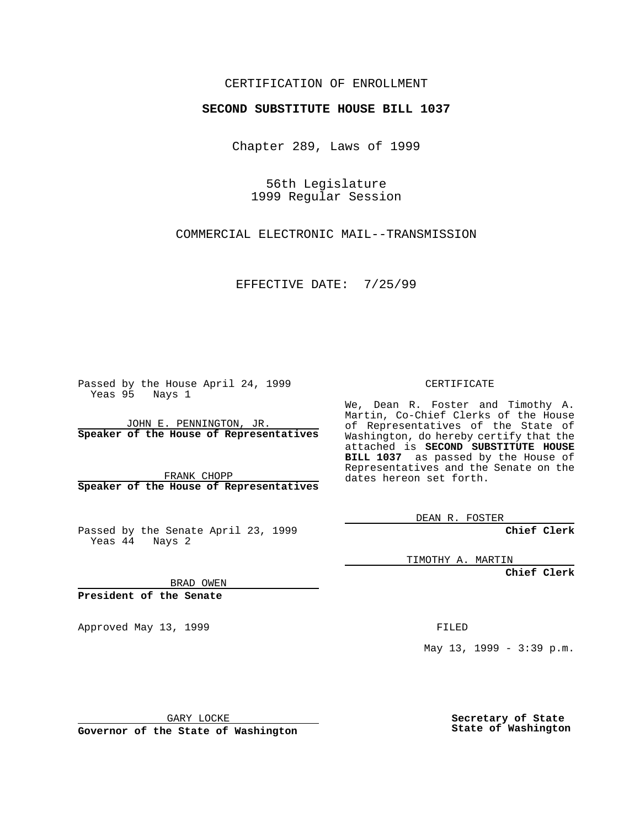### CERTIFICATION OF ENROLLMENT

## **SECOND SUBSTITUTE HOUSE BILL 1037**

Chapter 289, Laws of 1999

56th Legislature 1999 Regular Session

COMMERCIAL ELECTRONIC MAIL--TRANSMISSION

EFFECTIVE DATE: 7/25/99

Passed by the House April 24, 1999 Yeas 95 Nays 1

JOHN E. PENNINGTON, JR. **Speaker of the House of Representatives**

FRANK CHOPP **Speaker of the House of Representatives**

Passed by the Senate April 23, 1999 Yeas 44 Nays 2

CERTIFICATE

We, Dean R. Foster and Timothy A. Martin, Co-Chief Clerks of the House of Representatives of the State of Washington, do hereby certify that the attached is **SECOND SUBSTITUTE HOUSE BILL 1037** as passed by the House of Representatives and the Senate on the dates hereon set forth.

DEAN R. FOSTER

**Chief Clerk**

TIMOTHY A. MARTIN

**Chief Clerk**

BRAD OWEN

**President of the Senate**

Approved May 13, 1999 **FILED** 

May 13, 1999 - 3:39 p.m.

GARY LOCKE

**Governor of the State of Washington**

**Secretary of State State of Washington**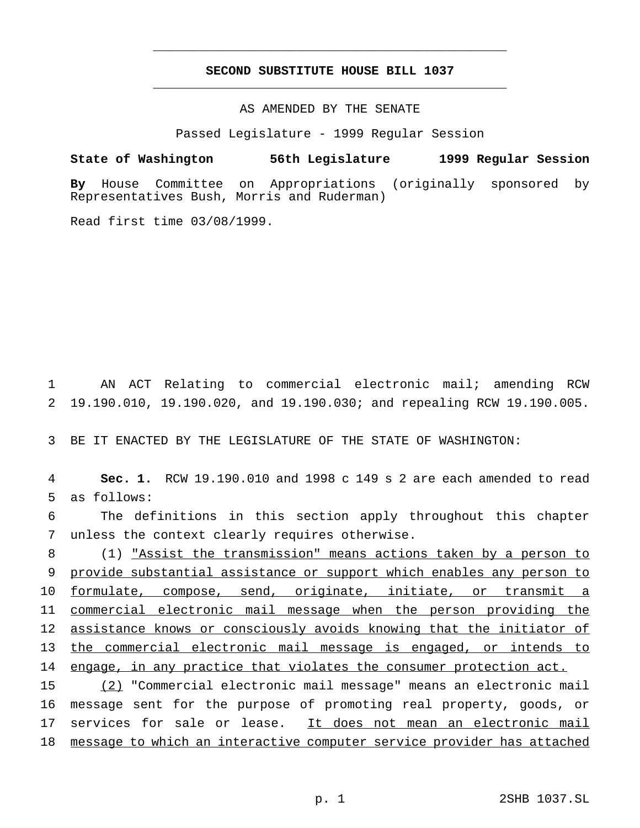# **SECOND SUBSTITUTE HOUSE BILL 1037** \_\_\_\_\_\_\_\_\_\_\_\_\_\_\_\_\_\_\_\_\_\_\_\_\_\_\_\_\_\_\_\_\_\_\_\_\_\_\_\_\_\_\_\_\_\_\_

\_\_\_\_\_\_\_\_\_\_\_\_\_\_\_\_\_\_\_\_\_\_\_\_\_\_\_\_\_\_\_\_\_\_\_\_\_\_\_\_\_\_\_\_\_\_\_

### AS AMENDED BY THE SENATE

Passed Legislature - 1999 Regular Session

### **State of Washington 56th Legislature 1999 Regular Session**

**By** House Committee on Appropriations (originally sponsored by Representatives Bush, Morris and Ruderman)

Read first time 03/08/1999.

1 AN ACT Relating to commercial electronic mail; amending RCW 2 19.190.010, 19.190.020, and 19.190.030; and repealing RCW 19.190.005.

3 BE IT ENACTED BY THE LEGISLATURE OF THE STATE OF WASHINGTON:

4 **Sec. 1.** RCW 19.190.010 and 1998 c 149 s 2 are each amended to read 5 as follows:

6 The definitions in this section apply throughout this chapter 7 unless the context clearly requires otherwise.

 (1) "Assist the transmission" means actions taken by a person to provide substantial assistance or support which enables any person to formulate, compose, send, originate, initiate, or transmit a commercial electronic mail message when the person providing the assistance knows or consciously avoids knowing that the initiator of the commercial electronic mail message is engaged, or intends to 14 engage, in any practice that violates the consumer protection act.

 (2) "Commercial electronic mail message" means an electronic mail message sent for the purpose of promoting real property, goods, or 17 services for sale or lease. It does not mean an electronic mail message to which an interactive computer service provider has attached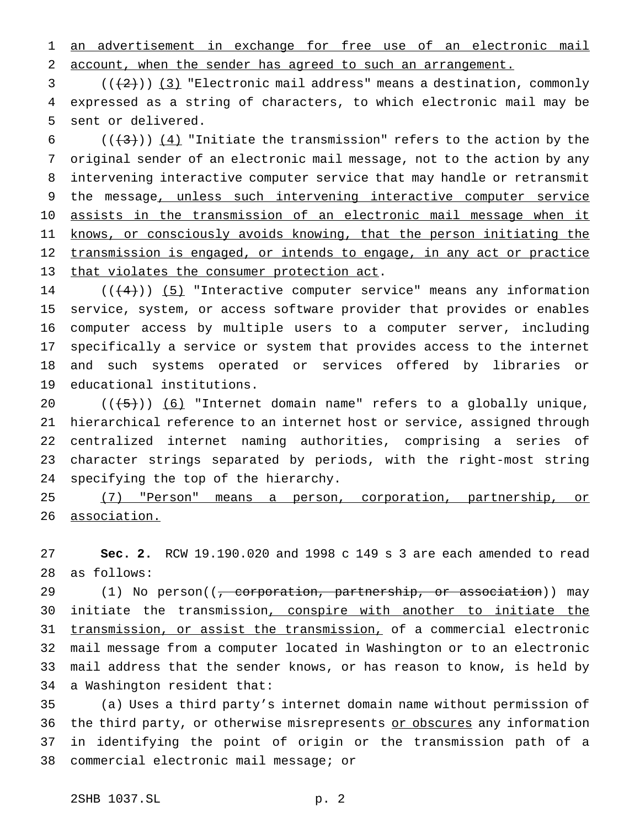an advertisement in exchange for free use of an electronic mail account, when the sender has agreed to such an arrangement.

 ( $(\frac{2}{3})$  "Electronic mail address" means a destination, commonly expressed as a string of characters, to which electronic mail may be sent or delivered.

 $((+3))$   $(4)$  "Initiate the transmission" refers to the action by the original sender of an electronic mail message, not to the action by any intervening interactive computer service that may handle or retransmit 9 the message, unless such intervening interactive computer service assists in the transmission of an electronic mail message when it knows, or consciously avoids knowing, that the person initiating the 12 transmission is engaged, or intends to engage, in any act or practice 13 that violates the consumer protection act.

 $((+4))$   $(5)$  "Interactive computer service" means any information service, system, or access software provider that provides or enables computer access by multiple users to a computer server, including specifically a service or system that provides access to the internet and such systems operated or services offered by libraries or educational institutions.

 $((\frac{1}{5}))(6)$  "Internet domain name" refers to a globally unique, hierarchical reference to an internet host or service, assigned through centralized internet naming authorities, comprising a series of character strings separated by periods, with the right-most string specifying the top of the hierarchy.

 (7) "Person" means a person, corporation, partnership, or association.

 **Sec. 2.** RCW 19.190.020 and 1998 c 149 s 3 are each amended to read as follows:

29 (1) No person((<del>, corporation, partnership, or association</del>)) may 30 initiate the transmission, conspire with another to initiate the transmission, or assist the transmission, of a commercial electronic mail message from a computer located in Washington or to an electronic mail address that the sender knows, or has reason to know, is held by a Washington resident that:

 (a) Uses a third party's internet domain name without permission of 36 the third party, or otherwise misrepresents or obscures any information in identifying the point of origin or the transmission path of a commercial electronic mail message; or